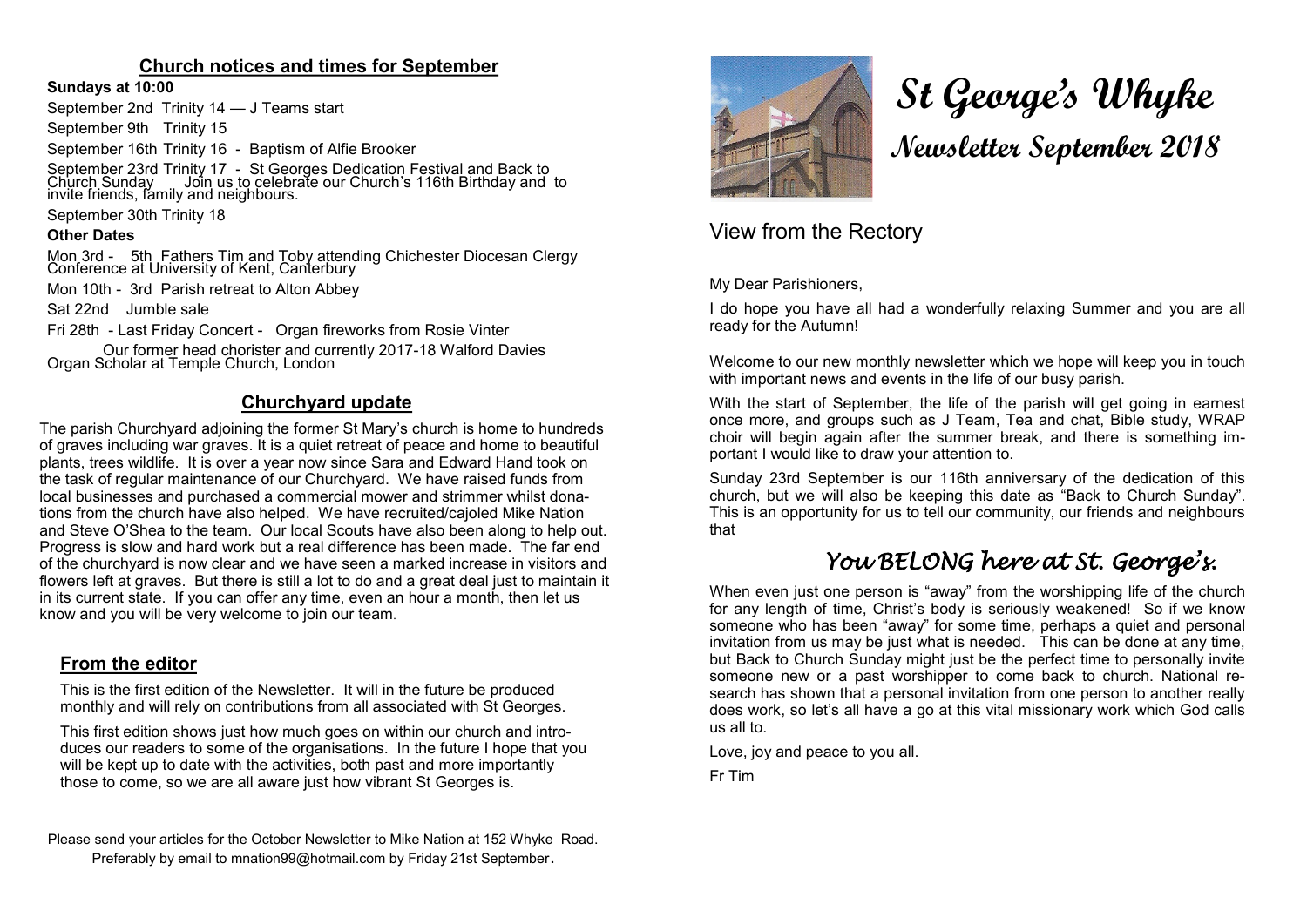### **Church notices and times for September**

#### **Sundays at 10:00**

September 2nd Trinity 14 — J Teams start

September 9th Trinity 15

September 16th Trinity 16 - Baptism of Alfie Brooker

September 23rd Trinity 17 - St Georges Dedication Festival and Back to Church Sunday  $\,$  Join us to celebrate our Church's 116th Birthday and to invite friends, family and neighbours.

September 30th Trinity 18

#### **Other Dates**

Mon 3rd - 5th Fathers Tim and Toby attending Chichester Diocesan Clergy Conference at University of Kent, Canterbury

Mon 10th - 3rd Parish retreat to Alton Abbey

Sat 22nd Jumble sale

Fri 28th - Last Friday Concert - Organ fireworks from Rosie Vinter

Our former head chorister and currently 2017-18 Walford Davies Organ Scholar at Temple Church, London

### **Churchyard update**

The parish Churchyard adjoining the former St Mary's church is home to hundreds of graves including war graves. It is a quiet retreat of peace and home to beautiful plants, trees wildlife. It is over a year now since Sara and Edward Hand took on the task of regular maintenance of our Churchyard. We have raised funds from local businesses and purchased a commercial mower and strimmer whilst donations from the church have also helped. We have recruited/cajoled Mike Nation and Steve O'Shea to the team. Our local Scouts have also been along to help out. Progress is slow and hard work but a real difference has been made. The far end of the churchyard is now clear and we have seen a marked increase in visitors and flowers left at graves. But there is still a lot to do and a great deal just to maintain it in its current state. If you can offer any time, even an hour a month, then let us know and you will be very welcome to join our team.

### **From the editor**

This is the first edition of the Newsletter. It will in the future be produced monthly and will rely on contributions from all associated with St Georges.

This first edition shows just how much goes on within our church and introduces our readers to some of the organisations. In the future I hope that you will be kept up to date with the activities, both past and more importantly those to come, so we are all aware just how vibrant St Georges is.

Please send your articles for the October Newsletter to Mike Nation at 152 Whyke Road. Preferably by email to mnation99@hotmail.com by Friday 21st September.



# **St George's Whyke Newsletter September 2018**

# View from the Rectory

My Dear Parishioners,

I do hope you have all had a wonderfully relaxing Summer and you are all ready for the Autumn!

Welcome to our new monthly newsletter which we hope will keep you in touch with important news and events in the life of our busy parish.

With the start of September, the life of the parish will get going in earnest once more, and groups such as J Team, Tea and chat, Bible study, WRAP choir will begin again after the summer break, and there is something important I would like to draw your attention to.

Sunday 23rd September is our 116th anniversary of the dedication of this church, but we will also be keeping this date as "Back to Church Sunday". This is an opportunity for us to tell our community, our friends and neighbours that

# *You BELONG here at St. George's.*

When even just one person is "away" from the worshipping life of the church for any length of time, Christ's body is seriously weakened! So if we know someone who has been "away" for some time, perhaps a quiet and personal invitation from us may be just what is needed. This can be done at any time, but Back to Church Sunday might just be the perfect time to personally invite someone new or a past worshipper to come back to church. National research has shown that a personal invitation from one person to another really does work, so let's all have a go at this vital missionary work which God calls us all to.

Love, joy and peace to you all.

Fr Tim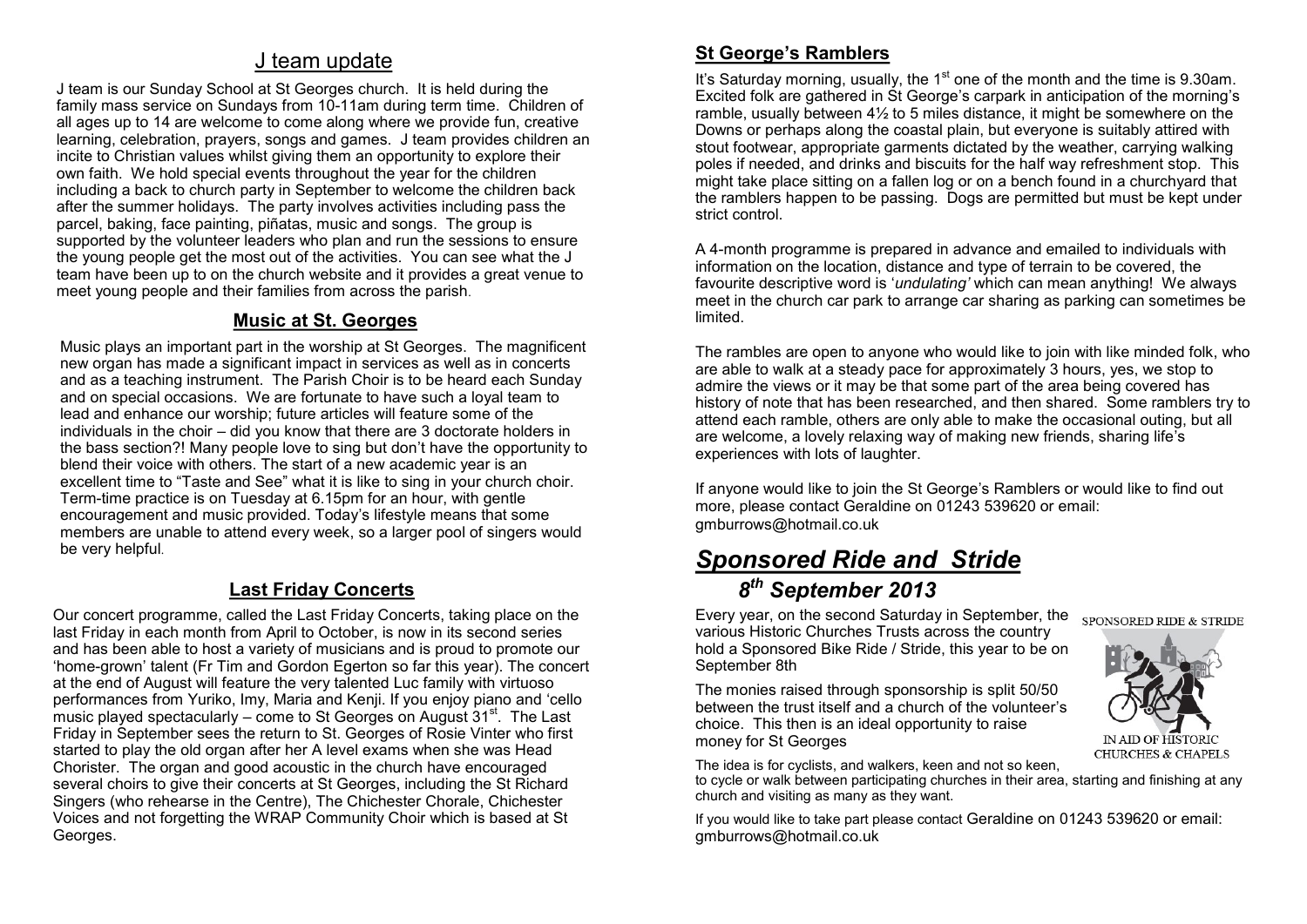# J team update

J team is our Sunday School at St Georges church. It is held during the family mass service on Sundays from 10-11am during term time. Children of all ages up to 14 are welcome to come along where we provide fun, creative learning, celebration, prayers, songs and games. J team provides children an incite to Christian values whilst giving them an opportunity to explore their own faith. We hold special events throughout the year for the children including a back to church party in September to welcome the children back after the summer holidays. The party involves activities including pass the parcel, baking, face painting, piñatas, music and songs. The group is supported by the volunteer leaders who plan and run the sessions to ensure the young people get the most out of the activities. You can see what the J team have been up to on the church website and it provides a great venue to meet young people and their families from across the parish.

### **Music at St. Georges**

Music plays an important part in the worship at St Georges. The magnificent new organ has made a significant impact in services as well as in concerts and as a teaching instrument. The Parish Choir is to be heard each Sunday and on special occasions. We are fortunate to have such a loyal team to lead and enhance our worship; future articles will feature some of the individuals in the choir – did you know that there are 3 doctorate holders in the bass section?! Many people love to sing but don't have the opportunity to blend their voice with others. The start of a new academic year is an excellent time to "Taste and See" what it is like to sing in your church choir. Term-time practice is on Tuesday at 6.15pm for an hour, with gentle encouragement and music provided. Today's lifestyle means that some members are unable to attend every week, so a larger pool of singers would be very helpful.

# **Last Friday Concerts**

Our concert programme, called the Last Friday Concerts, taking place on the last Friday in each month from April to October, is now in its second series and has been able to host a variety of musicians and is proud to promote our 'home-grown' talent (Fr Tim and Gordon Egerton so far this year). The concert at the end of August will feature the very talented Luc family with virtuoso performances from Yuriko, Imy, Maria and Kenji. If you enjoy piano and 'cello music played spectacularly – come to St Georges on August  $31<sup>st</sup>$ . The Last Friday in September sees the return to St. Georges of Rosie Vinter who first started to play the old organ after her A level exams when she was Head Chorister. The organ and good acoustic in the church have encouraged several choirs to give their concerts at St Georges, including the St Richard Singers (who rehearse in the Centre), The Chichester Chorale, Chichester Voices and not forgetting the WRAP Community Choir which is based at St Georges.

### **St George's Ramblers**

It's Saturday morning, usually, the 1<sup>st</sup> one of the month and the time is 9.30am. Excited folk are gathered in St George's carpark in anticipation of the morning's ramble, usually between  $4\frac{1}{2}$  to 5 miles distance, it might be somewhere on the Downs or perhaps along the coastal plain, but everyone is suitably attired with stout footwear, appropriate garments dictated by the weather, carrying walking poles if needed, and drinks and biscuits for the half way refreshment stop. This might take place sitting on a fallen log or on a bench found in a churchyard that the ramblers happen to be passing. Dogs are permitted but must be kept under strict control.

A 4-month programme is prepared in advance and emailed to individuals with information on the location, distance and type of terrain to be covered, the favourite descriptive word is '*undulating'* which can mean anything! We always meet in the church car park to arrange car sharing as parking can sometimes be limited.

The rambles are open to anyone who would like to join with like minded folk, who are able to walk at a steady pace for approximately 3 hours, yes, we stop to admire the views or it may be that some part of the area being covered has history of note that has been researched, and then shared. Some ramblers try to attend each ramble, others are only able to make the occasional outing, but all are welcome, a lovely relaxing way of making new friends, sharing life's experiences with lots of laughter.

If anyone would like to join the St George's Ramblers or would like to find out more, please contact Geraldine on 01243 539620 or email: gmburrows@hotmail.co.uk

# *Sponsored Ride and Stride 8 th September 2013*

Every year, on the second Saturday in September, the  $_{\text{SPONSORED RIDE}}$  & STRIDE various Historic Churches Trusts across the country hold a Sponsored Bike Ride / Stride, this year to be on September 8th

The monies raised through sponsorship is split 50/50 between the trust itself and a church of the volunteer's choice. This then is an ideal opportunity to raise money for St Georges



The idea is for cyclists, and walkers, keen and not so keen,

to cycle or walk between participating churches in their area, starting and finishing at any church and visiting as many as they want.

If you would like to take part please contact Geraldine on 01243 539620 or email: gmburrows@hotmail.co.uk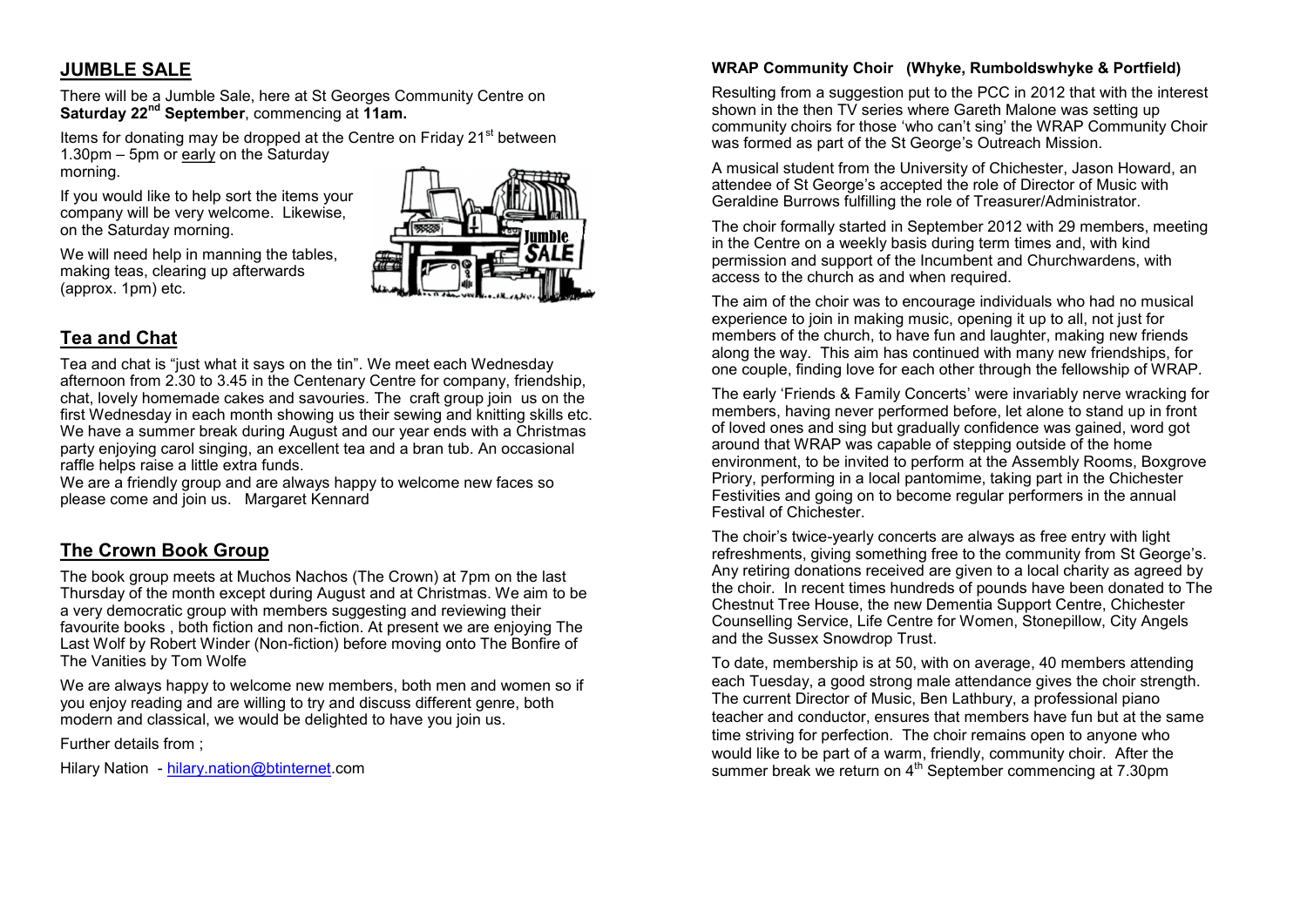### **JUMBLE SALE**

There will be a Jumble Sale, here at St Georges Community Centre on **Saturday 22nd September**, commencing at **11am.**

Items for donating may be dropped at the Centre on Friday 21<sup>st</sup> between 1.30pm – 5pm or early on the Saturday morning.

If you would like to help sort the items your company will be very welcome. Likewise, on the Saturday morning.



We will need help in manning the tables. making teas, clearing up afterwards (approx. 1pm) etc.

# **Tea and Chat**

Tea and chat is "just what it says on the tin". We meet each Wednesday afternoon from 2.30 to 3.45 in the Centenary Centre for company, friendship, chat, lovely homemade cakes and savouries. The craft group join us on the first Wednesday in each month showing us their sewing and knitting skills etc. We have a summer break during August and our year ends with a Christmas party enjoying carol singing, an excellent tea and a bran tub. An occasional raffle helps raise a little extra funds.

We are a friendly group and are always happy to welcome new faces so please come and join us. Margaret Kennard

# **The Crown Book Group**

The book group meets at Muchos Nachos (The Crown) at 7pm on the last Thursday of the month except during August and at Christmas. We aim to be a very democratic group with members suggesting and reviewing their favourite books , both fiction and non-fiction. At present we are enjoying The Last Wolf by Robert Winder (Non-fiction) before moving onto The Bonfire of The Vanities by Tom Wolfe

We are always happy to welcome new members, both men and women so if you enjoy reading and are willing to try and discuss different genre, both modern and classical, we would be delighted to have you join us.

Further details from ;

Hilary Nation - [hilary.nation@btinternet.](mailto:hilary.nation@btinternet)com

#### **WRAP Community Choir (Whyke, Rumboldswhyke & Portfield)**

Resulting from a suggestion put to the PCC in 2012 that with the interest shown in the then TV series where Gareth Malone was setting up community choirs for those 'who can't sing' the WRAP Community Choir was formed as part of the St George's Outreach Mission.

A musical student from the University of Chichester, Jason Howard, an attendee of St George's accepted the role of Director of Music with Geraldine Burrows fulfilling the role of Treasurer/Administrator.

The choir formally started in September 2012 with 29 members, meeting in the Centre on a weekly basis during term times and, with kind permission and support of the Incumbent and Churchwardens, with access to the church as and when required.

The aim of the choir was to encourage individuals who had no musical experience to join in making music, opening it up to all, not just for members of the church, to have fun and laughter, making new friends along the way. This aim has continued with many new friendships, for one couple, finding love for each other through the fellowship of WRAP.

The early 'Friends & Family Concerts' were invariably nerve wracking for members, having never performed before, let alone to stand up in front of loved ones and sing but gradually confidence was gained, word got around that WRAP was capable of stepping outside of the home environment, to be invited to perform at the Assembly Rooms, Boxgrove Priory, performing in a local pantomime, taking part in the Chichester Festivities and going on to become regular performers in the annual Festival of Chichester.

The choir's twice-yearly concerts are always as free entry with light refreshments, giving something free to the community from St George's. Any retiring donations received are given to a local charity as agreed by the choir. In recent times hundreds of pounds have been donated to The Chestnut Tree House, the new Dementia Support Centre, Chichester Counselling Service, Life Centre for Women, Stonepillow, City Angels and the Sussex Snowdrop Trust.

To date, membership is at 50, with on average, 40 members attending each Tuesday, a good strong male attendance gives the choir strength. The current Director of Music, Ben Lathbury, a professional piano teacher and conductor, ensures that members have fun but at the same time striving for perfection. The choir remains open to anyone who would like to be part of a warm, friendly, community choir. After the summer break we return on 4<sup>th</sup> September commencing at 7.30pm